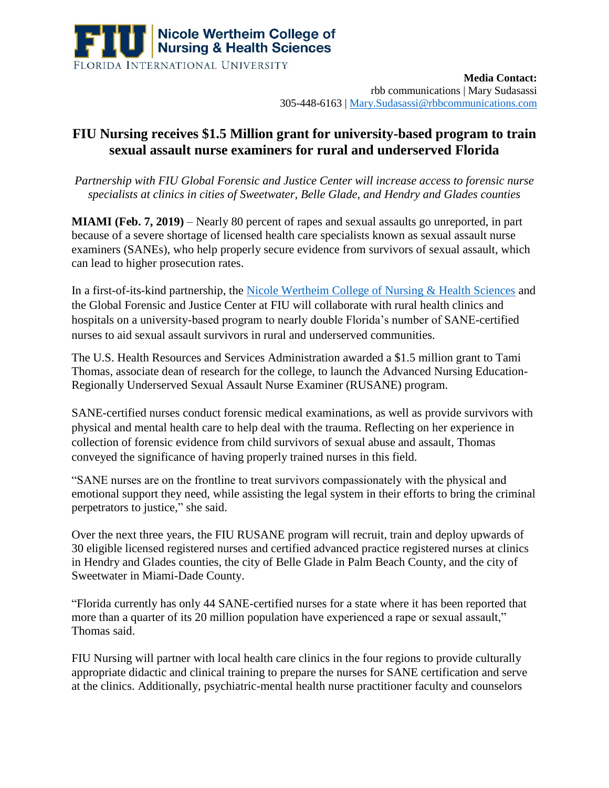

**Media Contact:**  rbb communications | Mary Sudasassi 305-448-6163 | [Mary.Sudasassi@rbbcommunications.com](mailto:Mary.Sudasassi@rbbcommunications.com)

## **FIU Nursing receives \$1.5 Million grant for university-based program to train sexual assault nurse examiners for rural and underserved Florida**

*Partnership with FIU Global Forensic and Justice Center will increase access to forensic nurse specialists at clinics in cities of Sweetwater, Belle Glade, and Hendry and Glades counties*

**MIAMI (Feb. 7, 2019)** – Nearly 80 percent of rapes and sexual assaults go unreported, in part because of a severe shortage of licensed health care specialists known as sexual assault nurse examiners (SANEs), who help properly secure evidence from survivors of sexual assault, which can lead to higher prosecution rates.

In a first-of-its-kind partnership, the [Nicole Wertheim College of Nursing &](https://cnhs.fiu.edu/) Health Sciences and the Global Forensic and Justice Center at FIU will collaborate with rural health clinics and hospitals on a university-based program to nearly double Florida's number of SANE-certified nurses to aid sexual assault survivors in rural and underserved communities.

The U.S. Health Resources and Services Administration awarded a \$1.5 million grant to Tami Thomas, associate dean of research for the college, to launch the Advanced Nursing Education-Regionally Underserved Sexual Assault Nurse Examiner (RUSANE) program.

SANE-certified nurses conduct forensic medical examinations, as well as provide survivors with physical and mental health care to help deal with the trauma. Reflecting on her experience in collection of forensic evidence from child survivors of sexual abuse and assault, Thomas conveyed the significance of having properly trained nurses in this field.

"SANE nurses are on the frontline to treat survivors compassionately with the physical and emotional support they need, while assisting the legal system in their efforts to bring the criminal perpetrators to justice," she said.

Over the next three years, the FIU RUSANE program will recruit, train and deploy upwards of 30 eligible licensed registered nurses and certified advanced practice registered nurses at clinics in Hendry and Glades counties, the city of Belle Glade in Palm Beach County, and the city of Sweetwater in Miami-Dade County.

"Florida currently has only 44 SANE-certified nurses for a state where it has been reported that more than a quarter of its 20 million population have experienced a rape or sexual assault," Thomas said.

FIU Nursing will partner with local health care clinics in the four regions to provide culturally appropriate didactic and clinical training to prepare the nurses for SANE certification and serve at the clinics. Additionally, psychiatric-mental health nurse practitioner faculty and counselors